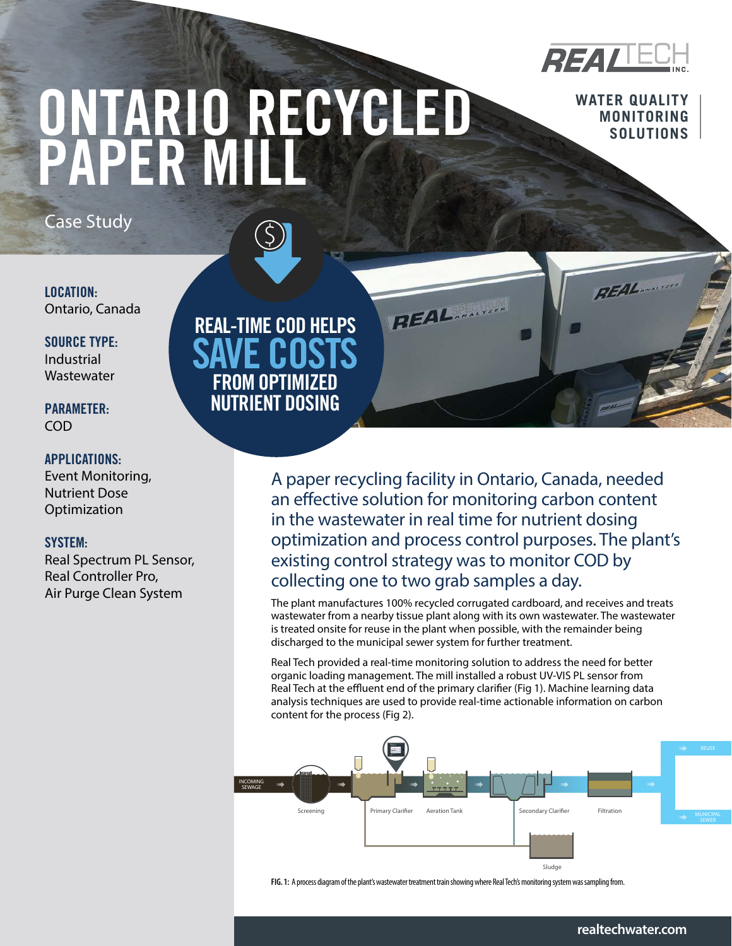

**WATER QUALITY** 

# **MONTARIO RECYCLED** WATER QUALITY PAPER MILL

Case Study

LOCATION: Ontario, Canada

SOURCE TYPE: Industrial Wastewater

PARAMETER: COD

# APPLICATIONS:

Event Monitoring, Nutrient Dose Optimization

# SYSTEM:

Real Spectrum PL Sensor, Real Controller Pro, Air Purge Clean System

REAL-TIME COD HELPS SAVE COSTS FROM OPTIMIZED NUTRIENT DOSING

> A paper recycling facility in Ontario, Canada, needed an effective solution for monitoring carbon content in the wastewater in real time for nutrient dosing optimization and process control purposes. The plant's existing control strategy was to monitor COD by collecting one to two grab samples a day.

**REAL** 

The plant manufactures 100% recycled corrugated cardboard, and receives and treats wastewater from a nearby tissue plant along with its own wastewater. The wastewater is treated onsite for reuse in the plant when possible, with the remainder being discharged to the municipal sewer system for further treatment.

Real Tech provided a real-time monitoring solution to address the need for better organic loading management. The mill installed a robust UV-VIS PL sensor from Real Tech at the effluent end of the primary clarifier (Fig 1). Machine learning data analysis techniques are used to provide real-time actionable information on carbon content for the process (Fig 2).



**FIG. 1:** A process diagram of the plant's wastewater treatment train showing where Real Tech's monitoring system was sampling from.